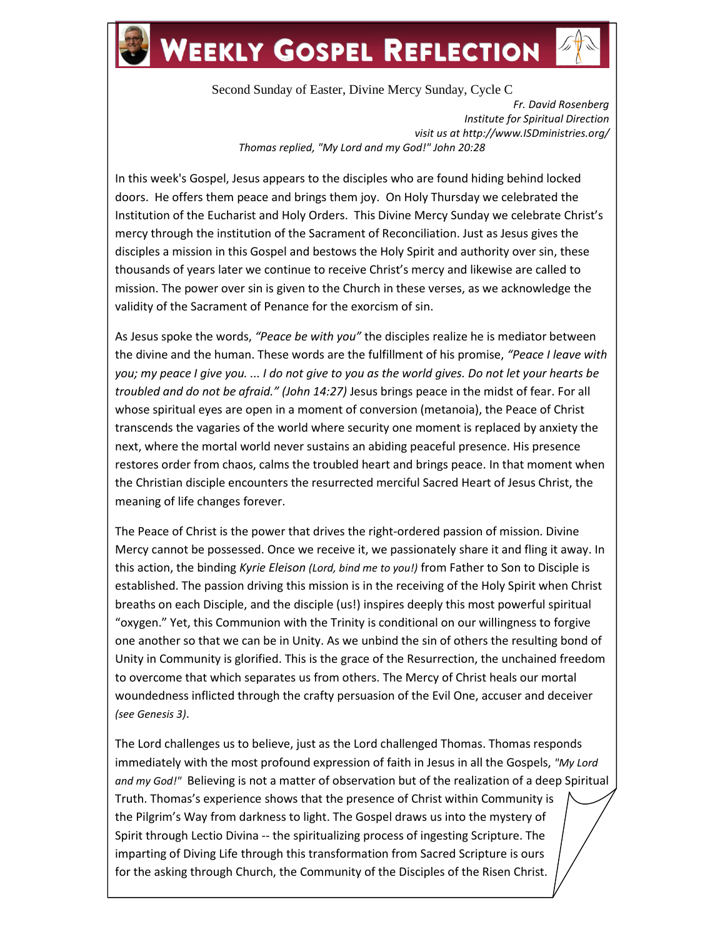## **WEEKLY GOSPEL REFLECTION**

Second Sunday of Easter, Divine Mercy Sunday, Cycle C *Fr. David Rosenberg Institute for Spiritual Direction visit us at http://www.ISDministries.org/ Thomas replied, "My Lord and my God!" John 20:28*

In this week's Gospel, Jesus appears to the disciples who are found hiding behind locked doors. He offers them peace and brings them joy. On Holy Thursday we celebrated the Institution of the Eucharist and Holy Orders. This Divine Mercy Sunday we celebrate Christ's mercy through the institution of the Sacrament of Reconciliation. Just as Jesus gives the disciples a mission in this Gospel and bestows the Holy Spirit and authority over sin, these thousands of years later we continue to receive Christ's mercy and likewise are called to mission. The power over sin is given to the Church in these verses, as we acknowledge the validity of the Sacrament of Penance for the exorcism of sin.

As Jesus spoke the words, *"Peace be with you"* the disciples realize he is mediator between the divine and the human. These words are the fulfillment of his promise, *"Peace I leave with you; my peace I give you. ... I do not give to you as the world gives. Do not let your hearts be troubled and do not be afraid." (John 14:27)* Jesus brings peace in the midst of fear. For all whose spiritual eyes are open in a moment of conversion (metanoia), the Peace of Christ transcends the vagaries of the world where security one moment is replaced by anxiety the next, where the mortal world never sustains an abiding peaceful presence. His presence restores order from chaos, calms the troubled heart and brings peace. In that moment when the Christian disciple encounters the resurrected merciful Sacred Heart of Jesus Christ, the meaning of life changes forever.

The Peace of Christ is the power that drives the right-ordered passion of mission. Divine Mercy cannot be possessed. Once we receive it, we passionately share it and fling it away. In this action, the binding *Kyrie Eleison (Lord, bind me to you!)* from Father to Son to Disciple is established. The passion driving this mission is in the receiving of the Holy Spirit when Christ breaths on each Disciple, and the disciple (us!) inspires deeply this most powerful spiritual "oxygen." Yet, this Communion with the Trinity is conditional on our willingness to forgive one another so that we can be in Unity. As we unbind the sin of others the resulting bond of Unity in Community is glorified. This is the grace of the Resurrection, the unchained freedom to overcome that which separates us from others. The Mercy of Christ heals our mortal woundedness inflicted through the crafty persuasion of the Evil One, accuser and deceiver *(see Genesis 3)*.

The Lord challenges us to believe, just as the Lord challenged Thomas. Thomas responds immediately with the most profound expression of faith in Jesus in all the Gospels, *"My Lord and my God!"* Believing is not a matter of observation but of the realization of a deep Spiritual Truth. Thomas's experience shows that the presence of Christ within Community is the Pilgrim's Way from darkness to light. The Gospel draws us into the mystery of Spirit through Lectio Divina -- the spiritualizing process of ingesting Scripture. The imparting of Diving Life through this transformation from Sacred Scripture is ours for the asking through Church, the Community of the Disciples of the Risen Christ.